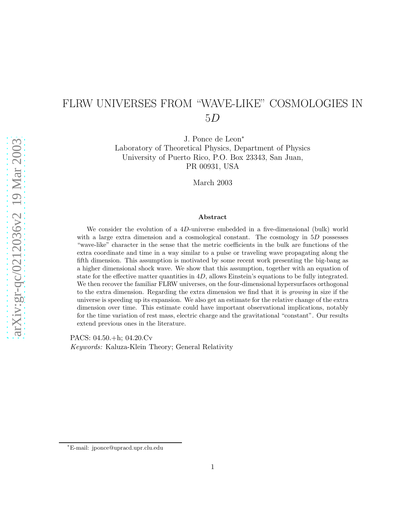# FLRW UNIVERSES FROM "WAVE-LIKE" COSMOLOGIES IN 5D

J. Ponce de Leon<sup>∗</sup>

Laboratory of Theoretical Physics, Department of Physics University of Puerto Rico, P.O. Box 23343, San Juan, PR 00931, USA

March 2003

#### Abstract

We consider the evolution of a 4D-universe embedded in a five-dimensional (bulk) world with a large extra dimension and a cosmological constant. The cosmology in  $5D$  possesses "wave-like" character in the sense that the metric coefficients in the bulk are functions of the extra coordinate and time in a way similar to a pulse or traveling wave propagating along the fifth dimension. This assumption is motivated by some recent work presenting the big-bang as a higher dimensional shock wave. We show that this assumption, together with an equation of state for the effective matter quantities in 4D, allows Einstein's equations to be fully integrated. We then recover the familiar FLRW universes, on the four-dimensional hypersurfaces orthogonal to the extra dimension. Regarding the extra dimension we find that it is *growing* in size if the universe is speeding up its expansion. We also get an estimate for the relative change of the extra dimension over time. This estimate could have important observational implications, notably for the time variation of rest mass, electric charge and the gravitational "constant". Our results extend previous ones in the literature.

PACS: 04.50.+h; 04.20.Cv *Keywords:* Kaluza-Klein Theory; General Relativity

<sup>∗</sup>E-mail: jponce@upracd.upr.clu.edu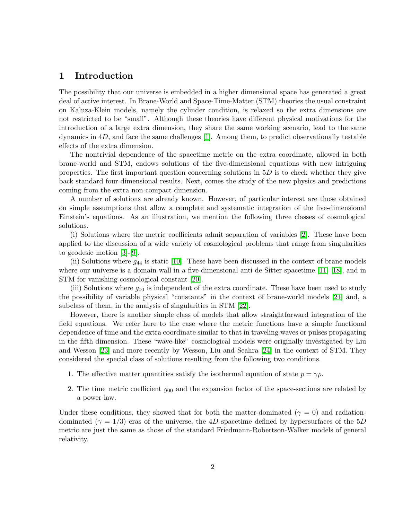### 1 Introduction

The possibility that our universe is embedded in a higher dimensional space has generated a great deal of active interest. In Brane-World and Space-Time-Matter (STM) theories the usual constraint on Kaluza-Klein models, namely the cylinder condition, is relaxed so the extra dimensions are not restricted to be "small". Although these theories have different physical motivations for the introduction of a large extra dimension, they share the same working scenario, lead to the same dynamics in  $4D$ , and face the same challenges [1]. Among them, to predict observationally testable effects of the extra dimension.

The nontrivial dependence of the spacetime metric on the extra coordinate, allowed in both brane-world and STM, endows solutions of the five-dimensional equations with new intriguing properties. The first important question concerning solutions in  $5D$  is to check whether they give back standard four-dimensional results. Next, comes the study of the new physics and predictions coming from the extra non-compact dimension.

A number of solutions are already known. However, of particular interest are those obtained on simple assumptions that allow a complete and systematic integration of the five-dimensional Einstein's equations. As an illustration, we mention the following three classes of cosmological solutions.

(i) Solutions where the metric coefficients admit separation of variables [2]. These have been applied to the discussion of a wide variety of cosmological problems that range from singularities to geodesic motion [3]-[9].

(ii) Solutions where  $g_{44}$  is static [\[10\]](#page-11-0). These have been discussed in the context of brane models where our universe is a domain wall in a five-dimensional anti-de Sitter spacetime [\[11\]](#page-11-1)-[\[18\]](#page-11-2), and in STM for vanishing cosmological constant [\[20\]](#page-11-3).

(iii) Solutions where  $g_{00}$  is independent of the extra coordinate. These have been used to study the possibility of variable physical "constants" in the context of brane-world models [\[21\]](#page-11-4) and, a subclass of them, in the analysis of singularities in STM [22].

However, there is another simple class of models that allow straightforward integration of the field equations. We refer here to the case where the metric functions have a simple functional dependence of time and the extra coordinate similar to that in traveling waves or pulses propagating in the fifth dimension. These "wave-like" cosmological models were originally investigated by Liu and Wesson [\[23\]](#page-12-0) and more recently by Wesson, Liu and Seahra [\[24\]](#page-12-1) in the context of STM. They considered the special class of solutions resulting from the following two conditions.

- 1. The effective matter quantities satisfy the isothermal equation of state  $p = \gamma \rho$ .
- 2. The time metric coefficient  $g_{00}$  and the expansion factor of the space-sections are related by a power law.

Under these conditions, they showed that for both the matter-dominated ( $\gamma = 0$ ) and radiationdominated ( $\gamma = 1/3$ ) eras of the universe, the 4D spacetime defined by hypersurfaces of the 5D metric are just the same as those of the standard Friedmann-Robertson-Walker models of general relativity.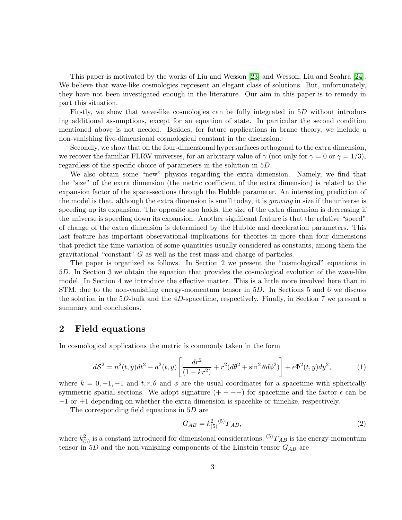This paper is motivated by the works of Liu and Wesson [\[23\]](#page-12-0) and Wesson, Liu and Seahra [\[24\]](#page-12-1). We believe that wave-like cosmologies represent an elegant class of solutions. But, unfortunately, they have not been investigated enough in the literature. Our aim in this paper is to remedy in part this situation.

Firstly, we show that wave-like cosmologies can be fully integrated in 5D without introducing additional assumptions, except for an equation of state. In particular the second condition mentioned above is not needed. Besides, for future applications in brane theory, we include a non-vanishing five-dimensional cosmological constant in the discussion.

Secondly, we show that on the four-dimensional hypersurfaces orthogonal to the extra dimension, we recover the familiar FLRW universes, for an arbitrary value of  $\gamma$  (not only for  $\gamma = 0$  or  $\gamma = 1/3$ ), regardless of the specific choice of parameters in the solution in 5D.

We also obtain some "new" physics regarding the extra dimension. Namely, we find that the "size" of the extra dimension (the metric coefficient of the extra dimension) is related to the expansion factor of the space-sections through the Hubble parameter. An interesting prediction of the model is that, although the extra dimension is small today, it is *growing* in size if the universe is speeding up its expansion. The opposite also holds, the size of the extra dimension is decreasing if the universe is speeding down its expansion. Another significant feature is that the relative "speed" of change of the extra dimension is determined by the Hubble and deceleration parameters. This last feature has important observational implications for theories in more than four dimensions that predict the time-variation of some quantities usually considered as constants, among them the gravitational "constant" G as well as the rest mass and charge of particles.

The paper is organized as follows. In Section 2 we present the "cosmological" equations in 5D. In Section 3 we obtain the equation that provides the cosmological evolution of the wave-like model. In Section 4 we introduce the effective matter. This is a little more involved here than in STM, due to the non-vanishing energy-momentum tensor in 5D. In Sections 5 and 6 we discuss the solution in the  $5D$ -bulk and the  $4D$ -spacetime, respectively. Finally, in Section 7 we present a summary and conclusions.

### 2 Field equations

<span id="page-2-0"></span>In cosmological applications the metric is commonly taken in the form

$$
dS^{2} = n^{2}(t, y)dt^{2} - a^{2}(t, y)\left[\frac{dr^{2}}{(1 - kr^{2})} + r^{2}(d\theta^{2} + \sin^{2}\theta d\phi^{2})\right] + \epsilon \Phi^{2}(t, y)dy^{2},
$$
 (1)

where  $k = 0, +1, -1$  and  $t, r, \theta$  and  $\phi$  are the usual coordinates for a spacetime with spherically symmetric spatial sections. We adopt signature  $(+ - - -)$  for spacetime and the factor  $\epsilon$  can be −1 or +1 depending on whether the extra dimension is spacelike or timelike, respectively.

The corresponding field equations in 5D are

<span id="page-2-1"></span>
$$
G_{AB} = k_{(5)}^2 \, {}^{(5)}T_{AB},\tag{2}
$$

where  $k_{(5)}^2$  is a constant introduced for dimensional considerations,  ${}^{(5)}T_{AB}$  is the energy-momentum tensor in  $5D$  and the non-vanishing components of the Einstein tensor  $G_{AB}$  are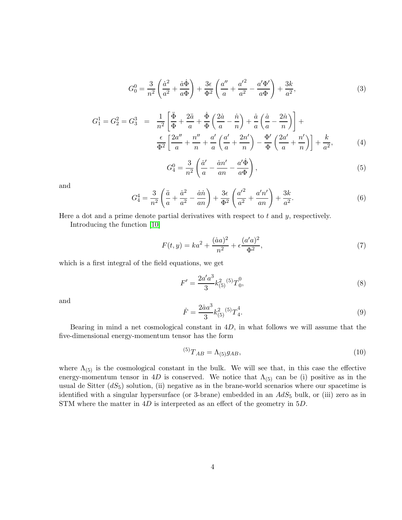$$
G_0^0 = \frac{3}{n^2} \left( \frac{\dot{a}^2}{a^2} + \frac{\dot{a}\dot{\Phi}}{a\Phi} \right) + \frac{3\epsilon}{\Phi^2} \left( \frac{a''}{a} + \frac{{a'}^2}{a^2} - \frac{{a'}\Phi'}{a\Phi} \right) + \frac{3k}{a^2},
$$
 (3)

$$
G_1^1 = G_2^2 = G_3^3 = \frac{1}{n^2} \left[ \frac{\ddot{\Phi}}{\Phi} + \frac{2\ddot{a}}{a} + \frac{\dot{\Phi}}{\Phi} \left( \frac{2\dot{a}}{a} - \frac{\dot{n}}{n} \right) + \frac{\dot{a}}{a} \left( \frac{\dot{a}}{a} - \frac{2\dot{n}}{n} \right) \right] + \frac{\epsilon}{\Phi^2} \left[ \frac{2a''}{a} + \frac{n''}{n} + \frac{a'}{a} \left( \frac{a'}{a} + \frac{2n'}{n} \right) - \frac{\Phi'}{\Phi} \left( \frac{2a'}{a} + \frac{n'}{n} \right) \right] + \frac{k}{a^2},
$$
 (4)

$$
G_4^0 = \frac{3}{n^2} \left( \frac{\dot{a}'}{a} - \frac{\dot{a}n'}{an} - \frac{a'\dot{\Phi}}{a\Phi} \right),\tag{5}
$$

and

$$
G_4^4 = \frac{3}{n^2} \left( \frac{\ddot{a}}{a} + \frac{\dot{a}^2}{a^2} - \frac{\dot{a}\dot{n}}{an} \right) + \frac{3\epsilon}{\Phi^2} \left( \frac{{a'}^2}{a^2} + \frac{{a'}n'}{an} \right) + \frac{3k}{a^2}.
$$
 (6)

Here a dot and a prime denote partial derivatives with respect to  $t$  and  $y$ , respectively.

Introducing the function [\[10\]](#page-11-0)

<span id="page-3-0"></span>
$$
F(t, y) = ka^{2} + \frac{(\dot{a}a)^{2}}{n^{2}} + \epsilon \frac{(a'a)^{2}}{\Phi^{2}},
$$
\n(7)

which is a first integral of the field equations, we get

$$
F' = \frac{2a'a^3}{3}k_{(5)}^2{}^{(5)}T_0^0,\tag{8}
$$

and

<span id="page-3-1"></span>
$$
\dot{F} = \frac{2\dot{a}a^3}{3}k_{(5)}^2{}^{(5)}T_4^4.\tag{9}
$$

Bearing in mind a net cosmological constant in 4D, in what follows we will assume that the five-dimensional energy-momentum tensor has the form

<span id="page-3-2"></span>
$$
{}^{(5)}T_{AB} = \Lambda_{(5)}g_{AB}, \t\t(10)
$$

where  $\Lambda_{(5)}$  is the cosmological constant in the bulk. We will see that, in this case the effective energy-momentum tensor in 4D is conserved. We notice that  $\Lambda_{(5)}$  can be (i) positive as in the usual de Sitter  $(dS_5)$  solution, (ii) negative as in the brane-world scenarios where our spacetime is identified with a singular hypersurface (or 3-brane) embedded in an  $AdS_5$  bulk, or (iii) zero as in STM where the matter in  $4D$  is interpreted as an effect of the geometry in  $5D$ .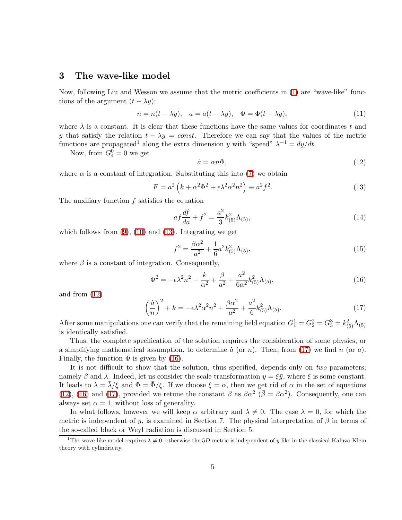### 3 The wave-like model

Now, following Liu and Wesson we assume that the metric coefficients in [\(1\)](#page-2-0) are "wave-like" functions of the argument  $(t - \lambda y)$ :

$$
n = n(t - \lambda y), \quad a = a(t - \lambda y), \quad \Phi = \Phi(t - \lambda y), \tag{11}
$$

where  $\lambda$  is a constant. It is clear that these functions have the same values for coordinates t and y that satisfy the relation  $t - \lambda y = const.$  Therefore we can say that the values of the metric functions are propagated<sup>1</sup> along the extra dimension y with "speed"  $\lambda^{-1} = dy/dt$ .

<span id="page-4-0"></span>Now, from  $G_4^0 = 0$  we get

$$
\dot{a} = \alpha n \Phi,\tag{12}
$$

where  $\alpha$  is a constant of integration. Substituting this into [\(7\)](#page-3-0) we obtain

<span id="page-4-1"></span>
$$
F = a^2 \left( k + \alpha^2 \Phi^2 + \epsilon \lambda^2 \alpha^2 n^2 \right) \equiv a^2 f^2. \tag{13}
$$

The auxiliary function  $f$  satisfies the equation

$$
af\frac{df}{da} + f^2 = \frac{a^2}{3}k^2_{(5)}\Lambda_{(5)},
$$
\n(14)

which follows from  $(9)$ ,  $(10)$  and  $(13)$ . Integrating we get

$$
f^2 = \frac{\beta \alpha^2}{a^2} + \frac{1}{6} a^2 k_{(5)}^2 \Lambda_{(5)},
$$
\n(15)

<span id="page-4-3"></span>where  $\beta$  is a constant of integration. Consequently,

$$
\Phi^2 = -\epsilon \lambda^2 n^2 - \frac{k}{\alpha^2} + \frac{\beta}{a^2} + \frac{a^2}{6\alpha^2} k^2_{(5)} \Lambda_{(5)},\tag{16}
$$

<span id="page-4-2"></span>and from [\(12\)](#page-4-1)

$$
\left(\frac{\dot{a}}{n}\right)^2 + k = -\epsilon \lambda^2 \alpha^2 n^2 + \frac{\beta \alpha^2}{a^2} + \frac{a^2}{6} k^2_{(5)} \Lambda_{(5)}.
$$
\n(17)

After some manipulations one can verify that the remaining field equation  $G_1^1 = G_2^2 = G_3^3 = k_{(5)}^2 \Lambda_{(5)}$ is identically satisfied.

Thus, the complete specification of the solution requires the consideration of some physics, or a simplifying mathematical assumption, to determine  $\dot{a}$  (or n). Then, from [\(17\)](#page-4-2) we find n (or a). Finally, the function  $\Phi$  is given by [\(16\)](#page-4-3).

It is not difficult to show that the solution, thus specified, depends only on *two* parameters; namely  $\beta$  and  $\lambda$ . Indeed, let us consider the scale transformation  $y = \xi \bar{y}$ , where  $\xi$  is some constant. It leads to  $\lambda = \lambda/\xi$  and  $\Phi = \bar{\Phi}/\xi$ . If we choose  $\xi = \alpha$ , then we get rid of  $\alpha$  in the set of equations [\(12\)](#page-4-1), [\(16\)](#page-4-3) and [\(17\)](#page-4-2), provided we retune the constant  $\beta$  as  $\beta \alpha^2$  ( $\overline{\beta} = \beta \alpha^2$ ). Consequently, one can always set  $\alpha = 1$ , without loss of generality.

In what follows, however we will keep  $\alpha$  arbitrary and  $\lambda \neq 0$ . The case  $\lambda = 0$ , for which the metric is independent of y, is examined in Section 7. The physical interpretation of  $\beta$  in terms of the so-called black or Weyl radiation is discussed in Section 5.

<sup>&</sup>lt;sup>1</sup>The wave-like model requires  $\lambda \neq 0$ , otherwise the 5D metric is independent of y like in the classical Kaluza-Klein theory with cylindricity.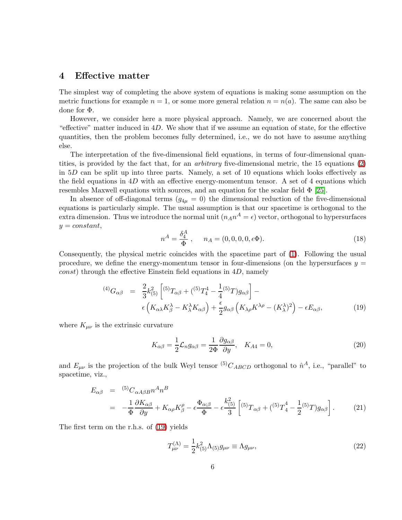#### 4 Effective matter

The simplest way of completing the above system of equations is making some assumption on the metric functions for example  $n = 1$ , or some more general relation  $n = n(a)$ . The same can also be done for Φ.

However, we consider here a more physical approach. Namely, we are concerned about the "effective" matter induced in  $4D$ . We show that if we assume an equation of state, for the effective quantities, then the problem becomes fully determined, i.e., we do not have to assume anything else.

The interpretation of the five-dimensional field equations, in terms of four-dimensional quantities, is provided by the fact that, for an *arbitrary* five-dimensional metric, the 15 equations [\(2\)](#page-2-1) in  $5D$  can be split up into three parts. Namely, a set of 10 equations which looks effectively as the field equations in  $4D$  with an effective energy-momentum tensor. A set of 4 equations which resembles Maxwell equations with sources, and an equation for the scalar field  $\Phi$  [\[25\]](#page-12-2).

In absence of off-diagonal terms  $(g_{4\mu} = 0)$  the dimensional reduction of the five-dimensional equations is particularly simple. The usual assumption is that our spacetime is orthogonal to the extra dimension. Thus we introduce the normal unit  $(n_A n^A = \epsilon)$  vector, orthogonal to hypersurfaces  $y = constant,$ 

$$
n^{A} = \frac{\delta_{4}^{A}}{\Phi}, \quad n_{A} = (0, 0, 0, 0, \epsilon \Phi). \tag{18}
$$

Consequently, the physical metric coincides with the spacetime part of [\(1\)](#page-2-0). Following the usual procedure, we define the energy-momentum tensor in four-dimensions (on the hypersurfaces  $y =$  $const$ ) through the effective Einstein field equations in 4D, namely

$$
^{(4)}G_{\alpha\beta} = \frac{2}{3}k_{(5)}^2 \left[ {}^{(5)}T_{\alpha\beta} + ({}^{(5)}T_4^4 - \frac{1}{4} {}^{(5)}T)g_{\alpha\beta} \right] - \epsilon \left( K_{\alpha\lambda}K_{\beta}^{\lambda} - K_{\lambda}^{\lambda}K_{\alpha\beta} \right) + \frac{\epsilon}{2}g_{\alpha\beta} \left( K_{\lambda\rho}K^{\lambda\rho} - (K_{\lambda}^{\lambda})^2 \right) - \epsilon E_{\alpha\beta}, \tag{19}
$$

<span id="page-5-0"></span>where  $K_{\mu\nu}$  is the extrinsic curvature

$$
K_{\alpha\beta} = \frac{1}{2} \mathcal{L}_n g_{\alpha\beta} = \frac{1}{2\Phi} \frac{\partial g_{\alpha\beta}}{\partial y}, \quad K_{A4} = 0,
$$
\n(20)

<span id="page-5-1"></span>and  $E_{\mu\nu}$  is the projection of the bulk Weyl tensor <sup>(5)</sup>C<sub>ABCD</sub> orthogonal to  $\hat{n}^A$ , i.e., "parallel" to spacetime, viz.,

$$
E_{\alpha\beta} = {}^{(5)}C_{\alpha A\beta B}n^A n^B
$$
  
= 
$$
-\frac{1}{\Phi}\frac{\partial K_{\alpha\beta}}{\partial y} + K_{\alpha\rho}K_{\beta}^{\rho} - \epsilon \frac{\Phi_{\alpha;\beta}}{\Phi} - \epsilon \frac{k_{(5)}^2}{3} \left[ {}^{(5)}T_{\alpha\beta} + ({}^{(5)}T_4^4 - \frac{1}{2} {}^{(5)}T)g_{\alpha\beta} \right].
$$
 (21)

The first term on the r.h.s. of [\(19\)](#page-5-0) yields

$$
T_{\mu\nu}^{(\Lambda)} = \frac{1}{2} k_{(5)}^2 \Lambda_{(5)} g_{\mu\nu} \equiv \Lambda g_{\mu\nu},\qquad(22)
$$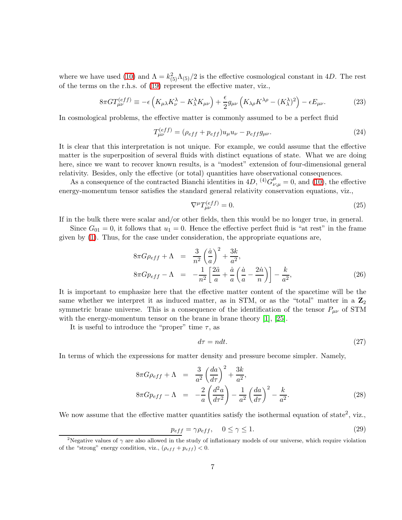where we have used [\(10\)](#page-3-2) and  $\Lambda = k_{(5)}^2 \Lambda_{(5)}/2$  is the effective cosmological constant in 4D. The rest of the terms on the r.h.s. of [\(19\)](#page-5-0) represent the effective mater, viz.,

$$
8\pi G T_{\mu\nu}^{(eff)} \equiv -\epsilon \left( K_{\mu\lambda} K_{\nu}^{\lambda} - K_{\lambda}^{\lambda} K_{\mu\nu} \right) + \frac{\epsilon}{2} g_{\mu\nu} \left( K_{\lambda\rho} K^{\lambda\rho} - (K_{\lambda}^{\lambda})^2 \right) - \epsilon E_{\mu\nu}.
$$
 (23)

In cosmological problems, the effective matter is commonly assumed to be a perfect fluid

 $\epsilon$  exposure

$$
T_{\mu\nu}^{(eff)} = (\rho_{eff} + p_{eff})u_{\mu}u_{\nu} - p_{eff}g_{\mu\nu}.
$$
 (24)

It is clear that this interpretation is not unique. For example, we could assume that the effective matter is the superposition of several fluids with distinct equations of state. What we are doing here, since we want to recover known results, is a "modest" extension of four-dimensional general relativity. Besides, only the effective (or total) quantities have observational consequences.

As a consequence of the contracted Bianchi identities in 4D, <sup>(4)</sup> $G^{\mu}_{\nu;\mu} = 0$ , and [\(10\)](#page-3-2), the effective energy-momentum tensor satisfies the standard general relativity conservation equations, viz.,

$$
\nabla^{\mu}T_{\mu\nu}^{(eff)} = 0. \tag{25}
$$

If in the bulk there were scalar and/or other fields, then this would be no longer true, in general.

<span id="page-6-3"></span>Since  $G_{01} = 0$ , it follows that  $u_1 = 0$ . Hence the effective perfect fluid is "at rest" in the frame given by [\(1\)](#page-2-0). Thus, for the case under consideration, the appropriate equations are,

$$
8\pi G\rho_{eff} + \Lambda = \frac{3}{n^2} \left(\frac{\dot{a}}{a}\right)^2 + \frac{3k}{a^2},
$$
  
\n
$$
8\pi G\rho_{eff} - \Lambda = -\frac{1}{n^2} \left[\frac{2\ddot{a}}{a} + \frac{\dot{a}}{a} \left(\frac{\dot{a}}{a} - \frac{2\dot{n}}{n}\right)\right] - \frac{k}{a^2},
$$
\n(26)

It is important to emphasize here that the effective matter content of the spacetime will be the same whether we interpret it as induced matter, as in STM, or as the "total" matter in a  $\mathbb{Z}_2$ symmetric brane universe. This is a consequence of the identification of the tensor  $P_{\mu\nu}$  of STM with the energy-momentum tensor on the brane in brane theory [1], [\[25\]](#page-12-2).

It is useful to introduce the "proper" time  $\tau$ , as

$$
d\tau = ndt.\tag{27}
$$

<span id="page-6-2"></span>In terms of which the expressions for matter density and pressure become simpler. Namely,

<span id="page-6-0"></span>
$$
8\pi G\rho_{eff} + \Lambda = \frac{3}{a^2} \left(\frac{da}{d\tau}\right)^2 + \frac{3k}{a^2},
$$
  
\n
$$
8\pi G\rho_{eff} - \Lambda = -\frac{2}{a} \left(\frac{d^2a}{d\tau^2}\right) - \frac{1}{a^2} \left(\frac{da}{d\tau}\right)^2 - \frac{k}{a^2}.
$$
\n(28)

We now assume that the effective matter quantities satisfy the isothermal equation of state<sup>2</sup>, viz.,

<span id="page-6-1"></span>
$$
p_{eff} = \gamma \rho_{eff}, \quad 0 \le \gamma \le 1. \tag{29}
$$

<sup>&</sup>lt;sup>2</sup>Negative values of  $\gamma$  are also allowed in the study of inflationary models of our universe, which require violation of the "strong" energy condition, viz.,  $(\rho_{eff} + p_{eff}) < 0$ .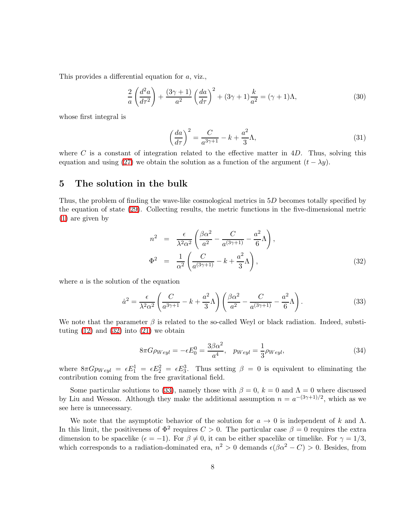This provides a differential equation for a, viz.,

$$
\frac{2}{a}\left(\frac{d^2a}{d\tau^2}\right) + \frac{(3\gamma+1)}{a^2}\left(\frac{da}{d\tau}\right)^2 + (3\gamma+1)\frac{k}{a^2} = (\gamma+1)\Lambda,\tag{30}
$$

whose first integral is

$$
\left(\frac{da}{d\tau}\right)^2 = \frac{C}{a^{3\gamma+1}} - k + \frac{a^2}{3}\Lambda,\tag{31}
$$

where C is a constant of integration related to the effective matter in  $4D$ . Thus, solving this equation and using [\(27\)](#page-6-0) we obtain the solution as a function of the argument  $(t - \lambda y)$ .

#### 5 The solution in the bulk

Thus, the problem of finding the wave-like cosmological metrics in 5D becomes totally specified by the equation of state [\(29\)](#page-6-1). Collecting results, the metric functions in the five-dimensional metric [\(1\)](#page-2-0) are given by

<span id="page-7-0"></span>
$$
n^2 = \frac{\epsilon}{\lambda^2 \alpha^2} \left( \frac{\beta \alpha^2}{a^2} - \frac{C}{a^{(3\gamma+1)}} - \frac{a^2}{6} \Lambda \right),
$$
  
\n
$$
\Phi^2 = \frac{1}{\alpha^2} \left( \frac{C}{a^{(3\gamma+1)}} - k + \frac{a^2}{3} \Lambda \right),
$$
\n(32)

<span id="page-7-1"></span>where  $a$  is the solution of the equation

$$
\dot{a}^2 = \frac{\epsilon}{\lambda^2 \alpha^2} \left( \frac{C}{a^{3\gamma + 1}} - k + \frac{a^2}{3} \Lambda \right) \left( \frac{\beta \alpha^2}{a^2} - \frac{C}{a^{(3\gamma + 1)}} - \frac{a^2}{6} \Lambda \right). \tag{33}
$$

We note that the parameter  $\beta$  is related to the so-called Weyl or black radiation. Indeed, substituting  $(12)$  and  $(32)$  into  $(21)$  we obtain

$$
8\pi G\rho_{Weyl} = -\epsilon E_0^0 = \frac{3\beta\alpha^2}{a^4}, \quad p_{Weyl} = \frac{1}{3}\rho_{Weyl},\tag{34}
$$

where  $8\pi G p_{Weyl} = \epsilon E_1^1 = \epsilon E_2^2 = \epsilon E_3^3$ . Thus setting  $\beta = 0$  is equivalent to eliminating the contribution coming from the free gravitational field.

Some particular solutions to [\(33\)](#page-7-1), namely those with  $\beta = 0$ ,  $k = 0$  and  $\Lambda = 0$  where discussed by Liu and Wesson. Although they make the additional assumption  $n = a^{-(3\gamma+1)/2}$ , which as we see here is unnecessary.

We note that the asymptotic behavior of the solution for  $a \to 0$  is independent of k and  $\Lambda$ . In this limit, the positiveness of  $\Phi^2$  requires  $C > 0$ . The particular case  $\beta = 0$  requires the extra dimension to be spacelike  $(\epsilon = -1)$ . For  $\beta \neq 0$ , it can be either spacelike or timelike. For  $\gamma = 1/3$ , which corresponds to a radiation-dominated era,  $n^2 > 0$  demands  $\epsilon(\beta \alpha^2 - C) > 0$ . Besides, from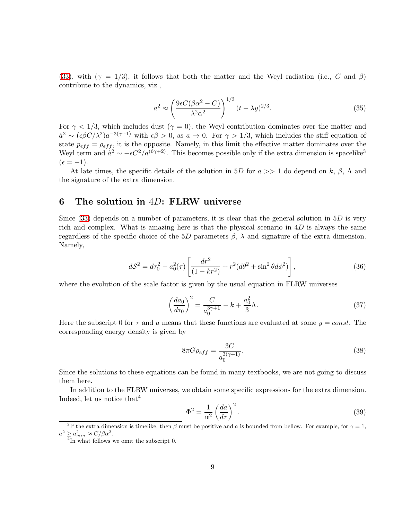[\(33\)](#page-7-1), with ( $\gamma = 1/3$ ), it follows that both the matter and the Weyl radiation (i.e., C and  $\beta$ ) contribute to the dynamics, viz.,

<span id="page-8-2"></span>
$$
a^2 \approx \left(\frac{9\epsilon C(\beta \alpha^2 - C)}{\lambda^2 \alpha^2}\right)^{1/3} (t - \lambda y)^{2/3}.
$$
 (35)

For  $\gamma$  < 1/3, which includes dust ( $\gamma = 0$ ), the Weyl contribution dominates over the matter and  $a^2 \sim (\epsilon \beta C/\lambda^2) a^{-3(\gamma+1)}$  with  $\epsilon \beta > 0$ , as  $a \to 0$ . For  $\gamma > 1/3$ , which includes the stiff equation of state  $p_{eff} = \rho_{eff}$ , it is the opposite. Namely, in this limit the effective matter dominates over the Weyl term and  $\dot{a}^2 \sim -\epsilon C^2/a^{(6\gamma+2)}$ . This becomes possible only if the extra dimension is spacelike<sup>3</sup>  $(\epsilon = -1).$ 

At late times, the specific details of the solution in 5D for  $a \gg 1$  do depend on k,  $\beta$ ,  $\Lambda$  and the signature of the extra dimension.

#### 6 The solution in  $4D$ : FLRW universe

Since  $(33)$  depends on a number of parameters, it is clear that the general solution in  $5D$  is very rich and complex. What is amazing here is that the physical scenario in  $4D$  is always the same regardless of the specific choice of the 5D parameters  $\beta$ ,  $\lambda$  and signature of the extra dimension. Namely,

<span id="page-8-0"></span>
$$
dS^{2} = d\tau_{0}^{2} - a_{0}^{2}(\tau) \left[ \frac{dr^{2}}{(1 - kr^{2})} + r^{2} (d\theta^{2} + \sin^{2} \theta d\phi^{2}) \right],
$$
\n(36)

where the evolution of the scale factor is given by the usual equation in FLRW universes

$$
\left(\frac{da_0}{d\tau_0}\right)^2 = \frac{C}{a_0^{3\gamma+1}} - k + \frac{a_0^2}{3}\Lambda.
$$
\n(37)

Here the subscript 0 for  $\tau$  and a means that these functions are evaluated at some  $y = const.$  The corresponding energy density is given by

<span id="page-8-1"></span>
$$
8\pi G\rho_{eff} = \frac{3C}{a_0^{3(\gamma+1)}}.
$$
\n(38)

Since the solutions to these equations can be found in many textbooks, we are not going to discuss them here.

In addition to the FLRW universes, we obtain some specific expressions for the extra dimension. Indeed, let us notice that  $4$ 

$$
\Phi^2 = \frac{1}{\alpha^2} \left(\frac{da}{d\tau}\right)^2.
$$
\n(39)

<sup>&</sup>lt;sup>3</sup>If the extra dimension is timelike, then  $\beta$  must be positive and a is bounded from bellow. For example, for  $\gamma = 1$ ,  $a^2 \geq a_{min}^2 \approx C/\beta \alpha^2.$  <sup>4</sup>In what follows we omit the subscript 0.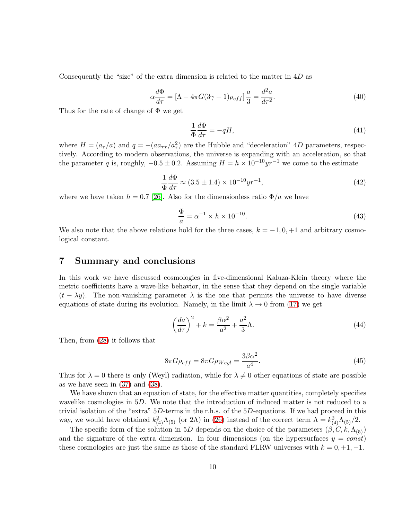<span id="page-9-0"></span>Consequently the "size" of the extra dimension is related to the matter in  $4D$  as

<span id="page-9-1"></span>
$$
\alpha \frac{d\Phi}{d\tau} = [\Lambda - 4\pi G(3\gamma + 1)\rho_{eff}] \frac{a}{3} = \frac{d^2 a}{d\tau^2}.
$$
\n(40)

Thus for the rate of change of Φ we get

$$
\frac{1}{\Phi} \frac{d\Phi}{d\tau} = -qH,\tag{41}
$$

where  $H = (a_{\tau}/a)$  and  $q = -(aa_{\tau}/a_{\tau}^2)$  are the Hubble and "deceleration" 4D parameters, respectively. According to modern observations, the universe is expanding with an acceleration, so that the parameter q is, roughly,  $-0.5 \pm 0.2$ . Assuming  $H = h \times 10^{-10} yr^{-1}$  we come to the estimate

<span id="page-9-2"></span>
$$
\frac{1}{\Phi} \frac{d\Phi}{d\tau} \approx (3.5 \pm 1.4) \times 10^{-10} yr^{-1},\tag{42}
$$

where we have taken  $h = 0.7$  [\[26\]](#page-12-3). Also for the dimensionless ratio  $\Phi/a$  we have

$$
\frac{\Phi}{a} = \alpha^{-1} \times h \times 10^{-10}.\tag{43}
$$

We also note that the above relations hold for the three cases,  $k = -1, 0, +1$  and arbitrary cosmological constant.

#### 7 Summary and conclusions

In this work we have discussed cosmologies in five-dimensional Kaluza-Klein theory where the metric coefficients have a wave-like behavior, in the sense that they depend on the single variable  $(t - \lambda y)$ . The non-vanishing parameter  $\lambda$  is the one that permits the universe to have diverse equations of state during its evolution. Namely, in the limit  $\lambda \to 0$  from [\(17\)](#page-4-2) we get

$$
\left(\frac{da}{d\tau}\right)^2 + k = \frac{\beta\alpha^2}{a^2} + \frac{a^2}{3}\Lambda.
$$
\n(44)

Then, from [\(28\)](#page-6-2) it follows that

$$
8\pi G\rho_{eff} = 8\pi G\rho_{Weyl} = \frac{3\beta\alpha^2}{a^4}.
$$
\n(45)

Thus for  $\lambda = 0$  there is only (Weyl) radiation, while for  $\lambda \neq 0$  other equations of state are possible as we have seen in [\(37\)](#page-8-0) and [\(38\)](#page-8-1).

We have shown that an equation of state, for the effective matter quantities, completely specifies wavelike cosmologies in 5D. We note that the introduction of induced matter is not reduced to a trivial isolation of the "extra" 5D-terms in the r.h.s. of the 5D-equations. If we had proceed in this way, we would have obtained  $k_{(4)}^2 \Lambda_{(5)}$  (or 2 $\Lambda$ ) in [\(26\)](#page-6-3) instead of the correct term  $\Lambda = k_{(4)}^2 \Lambda_{(5)}/2$ .

The specific form of the solution in 5D depends on the choice of the parameters  $(\beta, C, k, \Lambda_{(5)})$ and the signature of the extra dimension. In four dimensions (on the hypersurfaces  $y = const$ ) these cosmologies are just the same as those of the standard FLRW universes with  $k = 0, +1, -1$ .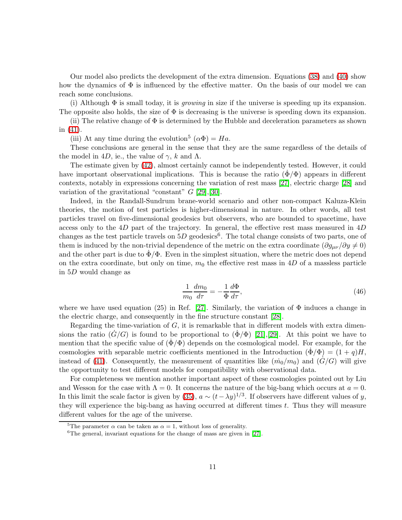Our model also predicts the development of the extra dimension. Equations [\(38\)](#page-8-1) and [\(40\)](#page-9-0) show how the dynamics of  $\Phi$  is influenced by the effective matter. On the basis of our model we can reach some conclusions.

(i) Although Φ is small today, it is *growing* in size if the universe is speeding up its expansion. The opposite also holds, the size of  $\Phi$  is decreasing is the universe is speeding down its expansion.

(ii) The relative change of  $\Phi$  is determined by the Hubble and deceleration parameters as shown in [\(41\)](#page-9-1).

(iii) At any time during the evolution<sup>5</sup> ( $\alpha \Phi$ ) = Ha.

These conclusions are general in the sense that they are the same regardless of the details of the model in 4D, ie., the value of  $\gamma$ , k and  $\Lambda$ .

The estimate given by [\(42\)](#page-9-2), almost certainly cannot be independently tested. However, it could have important observational implications. This is because the ratio  $(\dot{\Phi}/\Phi)$  appears in different contexts, notably in expressions concerning the variation of rest mass [\[27\]](#page-12-4), electric charge [\[28\]](#page-12-5) and variation of the gravitational "constant"  $G$  [\[29\]](#page-12-6), [\[30\]](#page-12-7).

Indeed, in the Randall-Sundrum brane-world scenario and other non-compact Kaluza-Klein theories, the motion of test particles is higher-dimensional in nature. In other words, all test particles travel on five-dimensional geodesics but observers, who are bounded to spacetime, have access only to the  $4D$  part of the trajectory. In general, the effective rest mass measured in  $4D$ changes as the test particle travels on  $5D$  geodesics<sup>6</sup>. The total change consists of two parts, one of them is induced by the non-trivial dependence of the metric on the extra coordinate  $(\partial g_{\mu\nu}/\partial y \neq 0)$ and the other part is due to  $\dot{\Phi}/\Phi$ . Even in the simplest situation, where the metric does not depend on the extra coordinate, but only on time,  $m_0$  the effective rest mass in 4D of a massless particle in 5D would change as

$$
\frac{1}{m_0}\frac{dm_0}{d\tau} = -\frac{1}{\Phi}\frac{d\Phi}{d\tau},\tag{46}
$$

where we have used equation (25) in Ref. [\[27\]](#page-12-4). Similarly, the variation of  $\Phi$  induces a change in the electric charge, and consequently in the fine structure constant [\[28\]](#page-12-5).

Regarding the time-variation of  $G$ , it is remarkable that in different models with extra dimensions the ratio  $(G/G)$  is found to be proportional to  $(\Phi/\Phi)$  [\[21\]](#page-11-4), [\[29\]](#page-12-6). At this point we have to mention that the specific value of  $(\Phi/\Phi)$  depends on the cosmological model. For example, for the cosmologies with separable metric coefficients mentioned in the Introduction  $(\Phi/\Phi) = (1+q)H$ , instead of [\(41\)](#page-9-1). Consequently, the measurement of quantities like  $(\dot{m}_0/m_0)$  and  $(G/G)$  will give the opportunity to test different models for compatibility with observational data.

For completeness we mention another important aspect of these cosmologies pointed out by Liu and Wesson for the case with  $\Lambda = 0$ . It concerns the nature of the big-bang which occurs at  $a = 0$ . In this limit the scale factor is given by [\(35\)](#page-8-2),  $a \sim (t - \lambda y)^{1/3}$ . If observers have different values of y, they will experience the big-bang as having occurred at different times  $t$ . Thus they will measure different values for the age of the universe.

<sup>&</sup>lt;sup>5</sup>The parameter  $\alpha$  can be taken as  $\alpha = 1$ , without loss of generality.

 ${}^{6}$ The general, invariant equations for the change of mass are given in [\[27\]](#page-12-4).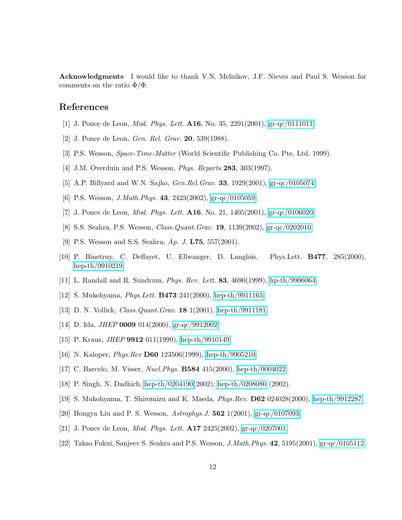Acknowledgments I would like to thank V.N. Melnikov, J.F. Nieves and Paul S. Wesson for comments on the ratio  $\Phi/\Phi$ .

## References

- [1] J. Ponce de Leon, *Mod. Phys. Lett.* A16, No. 35, 2291(2001), [gr-qc/0111011.](http://arxiv.org/abs/gr-qc/0111011)
- [2] J. Ponce de Leon, *Gen. Rel. Grav.* 20, 539(1988).
- [3] P.S. Wesson, *Space-Time-Matter* (World Scientific Publishing Co. Pte. Ltd. 1999).
- [4] J.M. Overduin and P.S. Wesson, *Phys. Reports* 283, 303(1997).
- [5] A.P. Billyard and W.N. Sajko, *Gen.Rel.Grav.* 33, 1929(2001), [gr-qc/0105074.](http://arxiv.org/abs/gr-qc/0105074)
- [6] P.S. Wesson, *J.Math.Phys.* 43, 2423(2002), [gr-qc/0105059.](http://arxiv.org/abs/gr-qc/0105059)
- [7] J. Ponce de Leon, *Mod. Phys. Lett.* A16, No. 21, 1405(2001), [gr-qc/0106020.](http://arxiv.org/abs/gr-qc/0106020)
- [8] S.S. Seahra, P.S. Wesson, *Class.Quant.Grav.* 19, 1139(2002), [gr-qc/0202010.](http://arxiv.org/abs/gr-qc/0202010)
- [9] P.S. Wesson and S.S. Seahra, *Ap. J.* L75, 557(2001).
- <span id="page-11-0"></span>[10] P. Binetruy, C. Deffayet, U. Ellwanger, D. Langlois, Phys.Lett. B477, 285(2000), [hep-th/9910219.](http://arxiv.org/abs/hep-th/9910219)
- <span id="page-11-1"></span>[11] L. Randall and R. Sundrum, *Phys. Rev. Lett.* 83, 4690(1999), [hp-th/9906064.](http://arxiv.org/abs/hp-th/9906064)
- [12] S. Mukohyama, *Phys.Lett.* B473 241(2000), [hep-th/9911165.](http://arxiv.org/abs/hep-th/9911165)
- [13] D. N. Vollick, *Class.Quant.Grav.* 18 1(2001), [hep-th/9911181.](http://arxiv.org/abs/hep-th/9911181)
- [14] D. Ida, *JHEP* 0009 014(2000), [gr-qc/9912002.](http://arxiv.org/abs/gr-qc/9912002)
- [15] P. Kraus, *JHEP* 9912 011(1999), [hep-th/9910149.](http://arxiv.org/abs/hep-th/9910149)
- [16] N. Kaloper, *Phys.Rev* D60 123506(1999), [hep-th/9905210.](http://arxiv.org/abs/hep-th/9905210)
- <span id="page-11-2"></span>[17] C. Barcelo, M. Visser, *Nucl.Phys.* B584 415(2000), [hep-th/0004022.](http://arxiv.org/abs/hep-th/0004022)
- [18] P. Singh, N. Dadhich, [hep-th/0204190\(](http://arxiv.org/abs/hep-th/0204190)2002); [hep-th/0208080](http://arxiv.org/abs/hep-th/0208080) (2002).
- <span id="page-11-3"></span>[19] S. Mukohyama, T. Shiromizu and K. Maeda, *Phys.Rev.* D62 024028(2000), [hep-th/9912287.](http://arxiv.org/abs/hep-th/9912287)
- <span id="page-11-4"></span>[20] Hongya Liu and P. S. Wesson, *Astrophys.J.* 562 1(2001), [gr-qc/0107093.](http://arxiv.org/abs/gr-qc/0107093)
- [21] J. Ponce de Leon, *Mod. Phys. Lett.* A17 2425(2002), [gr-qc/0207001.](http://arxiv.org/abs/gr-qc/0207001)
- [22] Takao Fukui, Sanjeev S. Seahra and P.S. Wesson, *J.Math.Phys.* 42, 5195(2001), [gr-qc/0105112.](http://arxiv.org/abs/gr-qc/0105112)